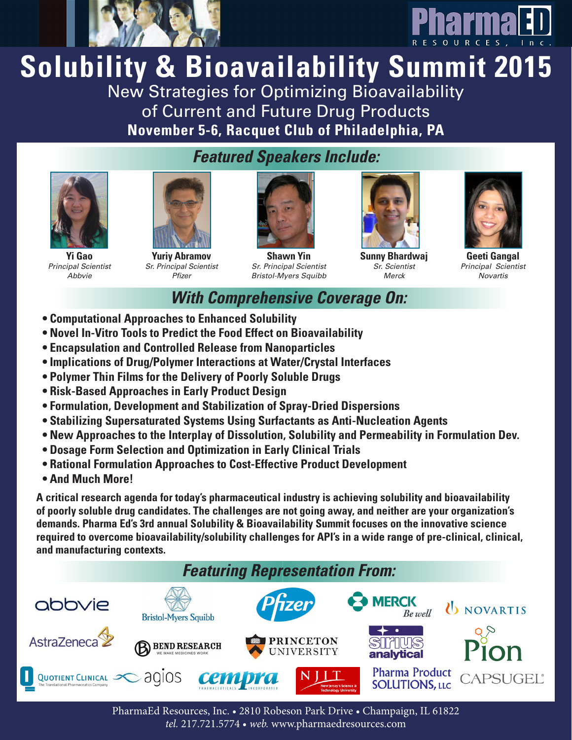



# **Solubility & Bioavailability Summit 2015** New Strategies for Optimizing Bioavailability

of Current and Future Drug Products **November 5-6, Racquet Club of Philadelphia, PA**



**Yi Gao** *Principal Scientist Abbvie*



**Yuriy Abramov** *Sr. Principal Scientist Pfizer*



**Shawn Yin** *Sr. Principal Scientist Bristol-Myers Squibb*



**Sunny Bhardwaj** *Sr. Scientist Merck*



**Geeti Gangal** *Principal Scientist Novartis*

# *With Comprehensive Coverage On:*

- **• Computational Approaches to Enhanced Solubility**
- **• Novel In-Vitro Tools to Predict the Food Effect on Bioavailability**
- **• Encapsulation and Controlled Release from Nanoparticles**
- **• Implications of Drug/Polymer Interactions at Water/Crystal Interfaces**
- **• Polymer Thin Films for the Delivery of Poorly Soluble Drugs**
- **• Risk-Based Approaches in Early Product Design**
- **• Formulation, Development and Stabilization of Spray-Dried Dispersions**
- **• Stabilizing Supersaturated Systems Using Surfactants as Anti-Nucleation Agents**
- **• New Approaches to the Interplay of Dissolution, Solubility and Permeability in Formulation Dev.**
- **• Dosage Form Selection and Optimization in Early Clinical Trials**
- **• Rational Formulation Approaches to Cost-Effective Product Development**
- **• And Much More!**

**A critical research agenda for today's pharmaceutical industry is achieving solubility and bioavailability of poorly soluble drug candidates. The challenges are not going away, and neither are your organization's demands. Pharma Ed's 3rd annual Solubility & Bioavailability Summit focuses on the innovative science required to overcome bioavailability/solubility challenges for API's in a wide range of pre-clinical, clinical, and manufacturing contexts.**



PharmaEd Resources, Inc. • 2810 Robeson Park Drive • Champaign, IL 61822 *tel.* 217.721.5774 • *web.* www.pharmaedresources.com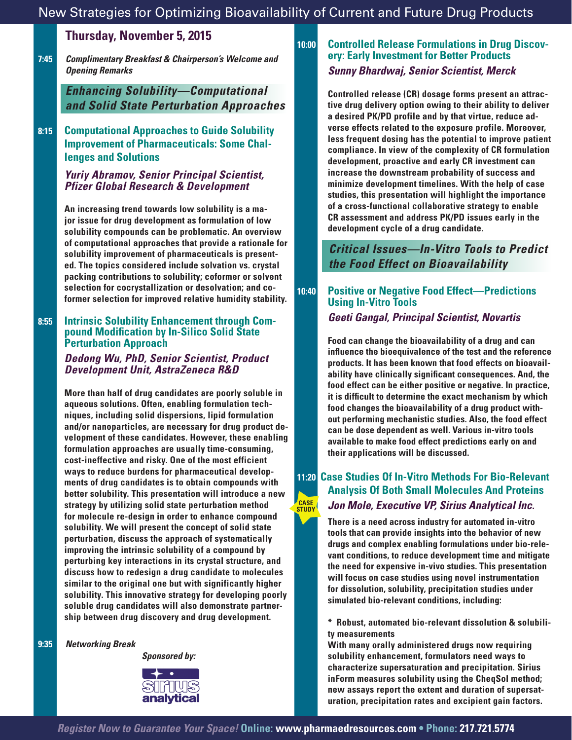## **Thursday, November 5, 2015**

 **7:45** *Complimentary Breakfast & Chairperson's Welcome and Opening Remarks*

> *Enhancing Solubility—Computational and Solid State Perturbation Approaches*

 **8:15 Computational Approaches to Guide Solubility Improvement of Pharmaceuticals: Some Challenges and Solutions**

#### *Yuriy Abramov, Senior Principal Scientist, Pfizer Global Research & Development*

**An increasing trend towards low solubility is a major issue for drug development as formulation of low solubility compounds can be problematic. An overview of computational approaches that provide a rationale for solubility improvement of pharmaceuticals is presented. The topics considered include solvation vs. crystal packing contributions to solubility; coformer or solvent selection for cocrystallization or desolvation; and coformer selection for improved relative humidity stability.** 

#### **8:55 Intrinsic Solubility Enhancement through Compound Modification by In-Silico Solid State Perturbation Approach**

#### *Dedong Wu, PhD, Senior Scientist, Product Development Unit, AstraZeneca R&D*

**More than half of drug candidates are poorly soluble in aqueous solutions. Often, enabling formulation techniques, including solid dispersions, lipid formulation and/or nanoparticles, are necessary for drug product development of these candidates. However, these enabling formulation approaches are usually time-consuming, cost-ineffective and risky. One of the most efficient ways to reduce burdens for pharmaceutical developments of drug candidates is to obtain compounds with better solubility. This presentation will introduce a new strategy by utilizing solid state perturbation method for molecule re-design in order to enhance compound solubility. We will present the concept of solid state perturbation, discuss the approach of systematically improving the intrinsic solubility of a compound by perturbing key interactions in its crystal structure, and discuss how to redesign a drug candidate to molecules similar to the original one but with significantly higher solubility. This innovative strategy for developing poorly soluble drug candidates will also demonstrate partnership between drug discovery and drug development.**

 **9:35** *Networking Break*

*Sponsored by:*



# **10:00 Controlled Release Formulations in Drug Discov- ery: Early Investment for Better Products**  *Sunny Bhardwaj, Senior Scientist, Merck*

**Controlled release (CR) dosage forms present an attractive drug delivery option owing to their ability to deliver a desired PK/PD profile and by that virtue, reduce adverse effects related to the exposure profile. Moreover, less frequent dosing has the potential to improve patient compliance. In view of the complexity of CR formulation development, proactive and early CR investment can increase the downstream probability of success and minimize development timelines. With the help of case studies, this presentation will highlight the importance of a cross-functional collaborative strategy to enable CR assessment and address PK/PD issues early in the development cycle of a drug candidate.**

*Critical Issues—In-Vitro Tools to Predict the Food Effect on Bioavailability*

### **10:40 Positive or Negative Food Effect—Predictions Using In-Vitro Tools** *Geeti Gangal, Principal Scientist, Novartis*

**Food can change the bioavailability of a drug and can influence the bioequivalence of the test and the reference products. It has been known that food effects on bioavailability have clinically significant consequences. And, the food effect can be either positive or negative. In practice, it is difficult to determine the exact mechanism by which food changes the bioavailability of a drug product without performing mechanistic studies. Also, the food effect can be dose dependent as well. Various in-vitro tools available to make food effect predictions early on and their applications will be discussed.**

#### **11:20 Case Studies Of In-Vitro Methods For Bio-Relevant Analysis Of Both Small Molecules And Proteins** *Jon Mole, Executive VP, Sirius Analytical Inc.* **CASE STUDY**

**There is a need across industry for automated in-vitro tools that can provide insights into the behavior of new drugs and complex enabling formulations under bio-relevant conditions, to reduce development time and mitigate the need for expensive in-vivo studies. This presentation will focus on case studies using novel instrumentation for dissolution, solubility, precipitation studies under simulated bio-relevant conditions, including:**

 **\* Robust, automated bio-relevant dissolution & solubility measurements**

**With many orally administered drugs now requiring solubility enhancement, formulators need ways to characterize supersaturation and precipitation. Sirius inForm measures solubility using the CheqSol method; new assays report the extent and duration of supersaturation, precipitation rates and excipient gain factors.**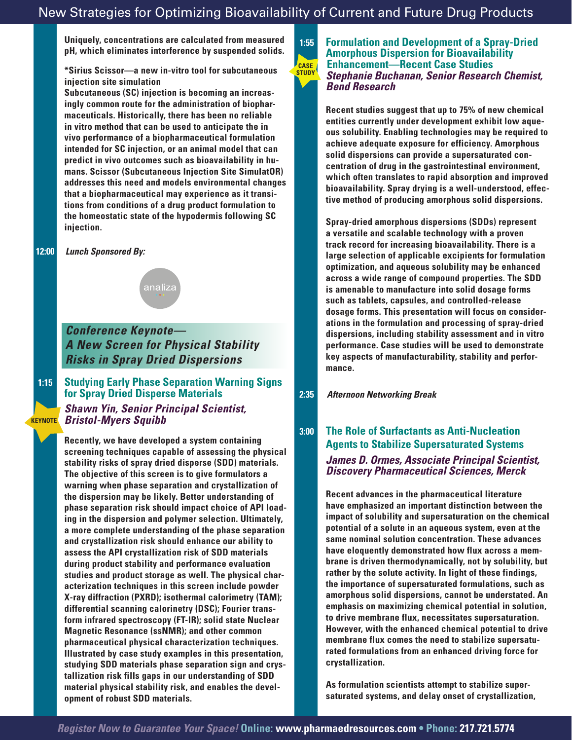**Uniquely, concentrations are calculated from measured pH, which eliminates interference by suspended solids.** 

#### **\*Sirius Scissor—a new in-vitro tool for subcutaneous injection site simulation**

**Subcutaneous (SC) injection is becoming an increasingly common route for the administration of biopharmaceuticals. Historically, there has been no reliable in vitro method that can be used to anticipate the in vivo performance of a biopharmaceutical formulation intended for SC injection, or an animal model that can predict in vivo outcomes such as bioavailability in humans. Scissor (Subcutaneous Injection Site SimulatOR) addresses this need and models environmental changes that a biopharmaceutical may experience as it transitions from conditions of a drug product formulation to the homeostatic state of the hypodermis following SC injection.** 

#### **12:00** *Lunch Sponsored By:*

**KEYNOTE**



*Conference Keynote— A New Screen for Physical Stability Risks in Spray Dried Dispersions*

 **1:15 Studying Early Phase Separation Warning Signs for Spray Dried Disperse Materials**

> *Shawn Yin, Senior Principal Scientist, Bristol-Myers Squibb*

**Recently, we have developed a system containing screening techniques capable of assessing the physical stability risks of spray dried disperse (SDD) materials. The objective of this screen is to give formulators a warning when phase separation and crystallization of the dispersion may be likely. Better understanding of phase separation risk should impact choice of API loading in the dispersion and polymer selection. Ultimately, a more complete understanding of the phase separation and crystallization risk should enhance our ability to assess the API crystallization risk of SDD materials during product stability and performance evaluation studies and product storage as well. The physical characterization techniques in this screen include powder X-ray diffraction (PXRD); isothermal calorimetry (TAM); differential scanning calorinetry (DSC); Fourier transform infrared spectroscopy (FT-IR); solid state Nuclear Magnetic Resonance (ssNMR); and other common pharmaceutical physical characterization techniques. Illustrated by case study examples in this presentation, studying SDD materials phase separation sign and crystallization risk fills gaps in our understanding of SDD material physical stability risk, and enables the development of robust SDD materials.**

#### **1:55 Formulation and Development of a Spray-Dried Amorphous Dispersion for Bioavailability Enhancement—Recent Case Studies** *Stephanie Buchanan, Senior Research Chemist, Bend Research* **CASE STUDY**

**Recent studies suggest that up to 75% of new chemical entities currently under development exhibit low aqueous solubility. Enabling technologies may be required to achieve adequate exposure for efficiency. Amorphous solid dispersions can provide a supersaturated concentration of drug in the gastrointestinal environment, which often translates to rapid absorption and improved bioavailability. Spray drying is a well-understood, effective method of producing amorphous solid dispersions.**

**Spray-dried amorphous dispersions (SDDs) represent a versatile and scalable technology with a proven track record for increasing bioavailability. There is a large selection of applicable excipients for formulation optimization, and aqueous solubility may be enhanced across a wide range of compound properties. The SDD is amenable to manufacture into solid dosage forms such as tablets, capsules, and controlled-release dosage forms. This presentation will focus on considerations in the formulation and processing of spray-dried dispersions, including stability assessment and in vitro performance. Case studies will be used to demonstrate key aspects of manufacturability, stability and performance.** 

#### **2:35** *Afternoon Networking Break*

## **3:00 The Role of Surfactants as Anti-Nucleation Agents to Stabilize Supersaturated Systems** *James D. Ormes, Associate Principal Scientist, Discovery Pharmaceutical Sciences, Merck*

**Recent advances in the pharmaceutical literature have emphasized an important distinction between the impact of solubility and supersaturation on the chemical potential of a solute in an aqueous system, even at the same nominal solution concentration. These advances have eloquently demonstrated how flux across a membrane is driven thermodynamically, not by solubility, but rather by the solute activity. In light of these findings, the importance of supersaturated formulations, such as amorphous solid dispersions, cannot be understated. An emphasis on maximizing chemical potential in solution, to drive membrane flux, necessitates supersaturation. However, with the enhanced chemical potential to drive membrane flux comes the need to stabilize supersaturated formulations from an enhanced driving force for crystallization.** 

**As formulation scientists attempt to stabilize supersaturated systems, and delay onset of crystallization,**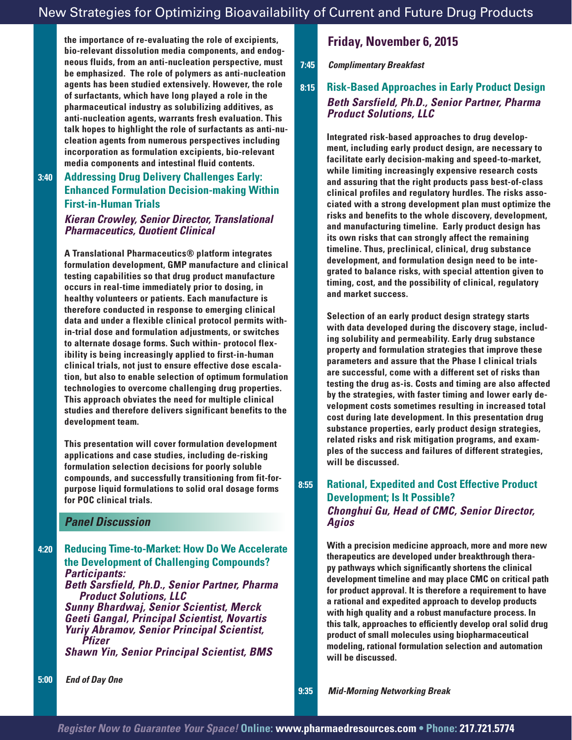**the importance of re-evaluating the role of excipients, bio-relevant dissolution media components, and endogneous fluids, from an anti-nucleation perspective, must be emphasized. The role of polymers as anti-nucleation agents has been studied extensively. However, the role of surfactants, which have long played a role in the pharmaceutical industry as solubilizing additives, as anti-nucleation agents, warrants fresh evaluation. This talk hopes to highlight the role of surfactants as anti-nucleation agents from numerous perspectives including incorporation as formulation excipients, bio-relevant media components and intestinal fluid contents.**

#### **3:40 Addressing Drug Delivery Challenges Early: Enhanced Formulation Decision-making Within First-in-Human Trials**

#### *Kieran Crowley, Senior Director, Translational Pharmaceutics, Quotient Clinical*

**A Translational Pharmaceutics® platform integrates formulation development, GMP manufacture and clinical testing capabilities so that drug product manufacture occurs in real-time immediately prior to dosing, in healthy volunteers or patients. Each manufacture is therefore conducted in response to emerging clinical data and under a flexible clinical protocol permits within-trial dose and formulation adjustments, or switches to alternate dosage forms. Such within- protocol flexibility is being increasingly applied to first-in-human clinical trials, not just to ensure effective dose escalation, but also to enable selection of optimum formulation technologies to overcome challenging drug properties. This approach obviates the need for multiple clinical studies and therefore delivers significant benefits to the development team.**

**This presentation will cover formulation development applications and case studies, including de-risking formulation selection decisions for poorly soluble compounds, and successfully transitioning from fit-forpurpose liquid formulations to solid oral dosage forms for POC clinical trials.** 

#### *Panel Discussion*

 **4:20 Reducing Time-to-Market: How Do We Accelerate the Development of Challenging Compounds?** *Participants: Beth Sarsfield, Ph.D., Senior Partner, Pharma Product Solutions, LLC Sunny Bhardwaj, Senior Scientist, Merck Geeti Gangal, Principal Scientist, Novartis Yuriy Abramov, Senior Principal Scientist, Pfizer Shawn Yin, Senior Principal Scientist, BMS*

## **Friday, November 6, 2015**

 **7:45** *Complimentary Breakfast* 

## **8:15 Risk-Based Approaches in Early Product Design** *Beth Sarsfield, Ph.D., Senior Partner, Pharma Product Solutions, LLC*

**Integrated risk-based approaches to drug development, including early product design, are necessary to facilitate early decision-making and speed-to-market, while limiting increasingly expensive research costs and assuring that the right products pass best-of-class clinical profiles and regulatory hurdles. The risks associated with a strong development plan must optimize the risks and benefits to the whole discovery, development, and manufacturing timeline. Early product design has its own risks that can strongly affect the remaining timeline. Thus, preclinical, clinical, drug substance development, and formulation design need to be integrated to balance risks, with special attention given to timing, cost, and the possibility of clinical, regulatory and market success.** 

**Selection of an early product design strategy starts with data developed during the discovery stage, including solubility and permeability. Early drug substance property and formulation strategies that improve these parameters and assure that the Phase I clinical trials are successful, come with a different set of risks than testing the drug as-is. Costs and timing are also affected by the strategies, with faster timing and lower early development costs sometimes resulting in increased total cost during late development. In this presentation drug substance properties, early product design strategies, related risks and risk mitigation programs, and examples of the success and failures of different strategies, will be discussed.**

## **8:55 Rational, Expedited and Cost Effective Product Development; Is It Possible?** *Chonghui Gu, Head of CMC, Senior Director, Agios*

**With a precision medicine approach, more and more new therapeutics are developed under breakthrough therapy pathways which significantly shortens the clinical development timeline and may place CMC on critical path for product approval. It is therefore a requirement to have a rational and expedited approach to develop products with high quality and a robust manufacture process. In this talk, approaches to efficiently develop oral solid drug product of small molecules using biopharmaceutical modeling, rational formulation selection and automation will be discussed.**

 **9:35** *Mid-Morning Networking Break*

 **5:00** *End of Day One*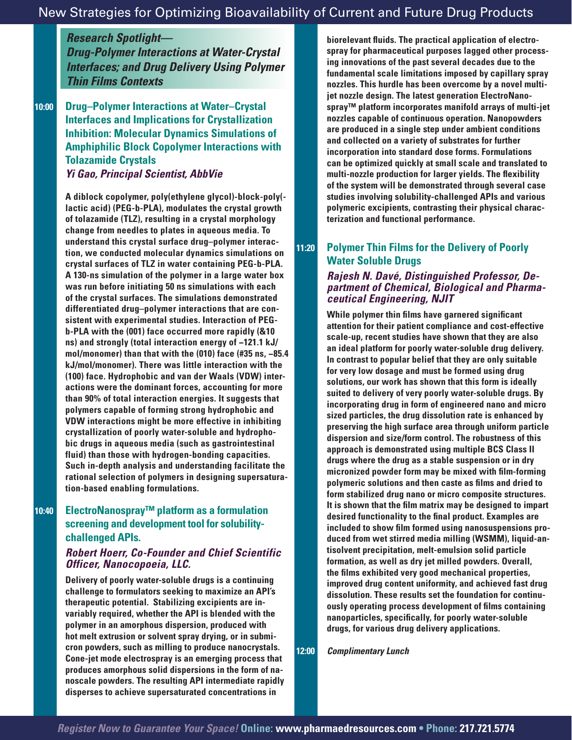*Research Spotlight—*

*Drug-Polymer Interactions at Water-Crystal Interfaces; and Drug Delivery Using Polymer Thin Films Contexts*

 **10:00 Drug–Polymer Interactions at Water–Crystal Interfaces and Implications for Crystallization Inhibition: Molecular Dynamics Simulations of Amphiphilic Block Copolymer Interactions with Tolazamide Crystals** *Yi Gao, Principal Scientist, AbbVie*

> **A diblock copolymer, poly(ethylene glycol)-block-poly( lactic acid) (PEG-b-PLA), modulates the crystal growth of tolazamide (TLZ), resulting in a crystal morphology change from needles to plates in aqueous media. To understand this crystal surface drug–polymer interaction, we conducted molecular dynamics simulations on crystal surfaces of TLZ in water containing PEG-b-PLA. A 130-ns simulation of the polymer in a large water box was run before initiating 50 ns simulations with each of the crystal surfaces. The simulations demonstrated differentiated drug–polymer interactions that are consistent with experimental studies. Interaction of PEGb-PLA with the (001) face occurred more rapidly (&10 ns) and strongly (total interaction energy of −121.1 kJ/ mol/monomer) than that with the (010) face (#35 ns, −85.4 kJ/mol/monomer). There was little interaction with the (100) face. Hydrophobic and van der Waals (VDW) interactions were the dominant forces, accounting for more than 90% of total interaction energies. It suggests that polymers capable of forming strong hydrophobic and VDW interactions might be more effective in inhibiting crystallization of poorly water-soluble and hydrophobic drugs in aqueous media (such as gastrointestinal fluid) than those with hydrogen-bonding capacities. Such in-depth analysis and understanding facilitate the rational selection of polymers in designing supersaturation-based enabling formulations.**

#### **10:40 ElectroNanospray™ platform as a formulation screening and development tool for solubilitychallenged APIs.**

#### *Robert Hoerr, Co-Founder and Chief Scientific Officer, Nanocopoeia, LLC.*

**Delivery of poorly water-soluble drugs is a continuing challenge to formulators seeking to maximize an API's therapeutic potential. Stabilizing excipients are invariably required, whether the API is blended with the polymer in an amorphous dispersion, produced with hot melt extrusion or solvent spray drying, or in submicron powders, such as milling to produce nanocrystals. Cone-jet mode electrospray is an emerging process that produces amorphous solid dispersions in the form of nanoscale powders. The resulting API intermediate rapidly disperses to achieve supersaturated concentrations in** 

**biorelevant fluids. The practical application of electrospray for pharmaceutical purposes lagged other processing innovations of the past several decades due to the fundamental scale limitations imposed by capillary spray nozzles. This hurdle has been overcome by a novel multijet nozzle design. The latest generation ElectroNanospray™ platform incorporates manifold arrays of multi-jet nozzles capable of continuous operation. Nanopowders are produced in a single step under ambient conditions and collected on a variety of substrates for further incorporation into standard dose forms. Formulations can be optimized quickly at small scale and translated to multi-nozzle production for larger yields. The flexibility of the system will be demonstrated through several case studies involving solubility-challenged APIs and various polymeric excipients, contrasting their physical characterization and functional performance.** 

## **11:20 Polymer Thin Films for the Delivery of Poorly Water Soluble Drugs**

#### *Rajesh N. Davé, Distinguished Professor, Department of Chemical, Biological and Pharmaceutical Engineering, NJIT*

**While polymer thin films have garnered significant attention for their patient compliance and cost-effective scale-up, recent studies have shown that they are also an ideal platform for poorly water-soluble drug delivery. In contrast to popular belief that they are only suitable for very low dosage and must be formed using drug solutions, our work has shown that this form is ideally suited to delivery of very poorly water-soluble drugs. By incorporating drug in form of engineered nano and micro sized particles, the drug dissolution rate is enhanced by preserving the high surface area through uniform particle dispersion and size/form control. The robustness of this approach is demonstrated using multiple BCS Class II drugs where the drug as a stable suspension or in dry micronized powder form may be mixed with film-forming polymeric solutions and then caste as films and dried to form stabilized drug nano or micro composite structures. It is shown that the film matrix may be designed to impart desired functionality to the final product. Examples are included to show film formed using nanosuspensions produced from wet stirred media milling (WSMM), liquid-antisolvent precipitation, melt-emulsion solid particle formation, as well as dry jet milled powders. Overall, the films exhibited very good mechanical properties, improved drug content uniformity, and achieved fast drug dissolution. These results set the foundation for continuously operating process development of films containing nanoparticles, specifically, for poorly water-soluble drugs, for various drug delivery applications.**

**12:00** *Complimentary Lunch*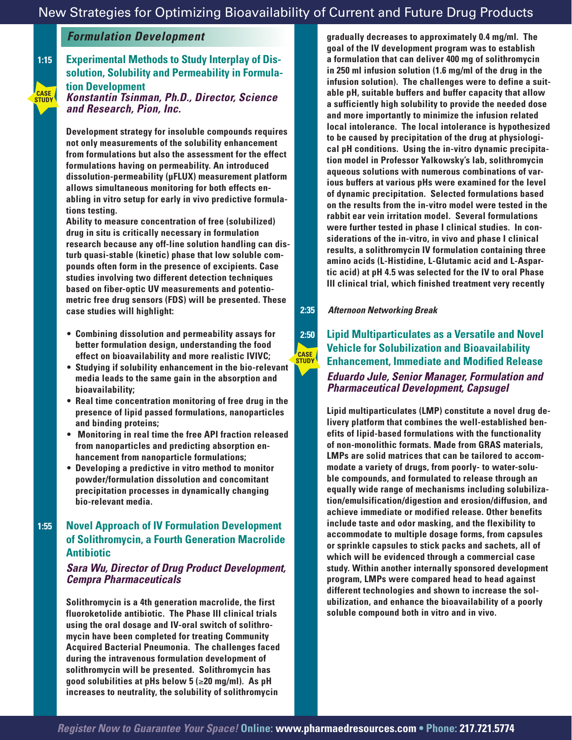### *Formulation Development*

#### **1:15 Experimental Methods to Study Interplay of Dissolution, Solubility and Permeability in Formulation Development** *Konstantin Tsinman, Ph.D., Director, Science and Research, Pion, Inc.* **CASE STUDY**

**Development strategy for insoluble compounds requires not only measurements of the solubility enhancement from formulations but also the assessment for the effect formulations having on permeability. An introduced dissolution-permeability (µFLUX) measurement platform allows simultaneous monitoring for both effects enabling in vitro setup for early in vivo predictive formulations testing.** 

**Ability to measure concentration of free (solubilized) drug in situ is critically necessary in formulation research because any off-line solution handling can disturb quasi-stable (kinetic) phase that low soluble compounds often form in the presence of excipients. Case studies involving two different detection techniques based on fiber-optic UV measurements and potentiometric free drug sensors (FDS) will be presented. These case studies will highlight:** 

- **• Combining dissolution and permeability assays for better formulation design, understanding the food effect on bioavailability and more realistic IVIVC;**
- **• Studying if solubility enhancement in the bio-relevant media leads to the same gain in the absorption and bioavailability;**
- **• Real time concentration monitoring of free drug in the presence of lipid passed formulations, nanoparticles and binding proteins;**
- **Monitoring in real time the free API fraction released from nanoparticles and predicting absorption enhancement from nanoparticle formulations;**
- **• Developing a predictive in vitro method to monitor powder/formulation dissolution and concomitant precipitation processes in dynamically changing bio-relevant media.**

#### **1:55 Novel Approach of IV Formulation Development of Solithromycin, a Fourth Generation Macrolide Antibiotic**

#### *Sara Wu, Director of Drug Product Development, Cempra Pharmaceuticals*

**Solithromycin is a 4th generation macrolide, the first fluoroketolide antibiotic. The Phase III clinical trials using the oral dosage and IV-oral switch of solithromycin have been completed for treating Community Acquired Bacterial Pneumonia. The challenges faced during the intravenous formulation development of solithromycin will be presented. Solithromycin has good solubilities at pHs below 5 (**≥**20 mg/ml). As pH increases to neutrality, the solubility of solithromycin** 

**gradually decreases to approximately 0.4 mg/ml. The goal of the IV development program was to establish a formulation that can deliver 400 mg of solithromycin in 250 ml infusion solution (1.6 mg/ml of the drug in the infusion solution). The challenges were to define a suitable pH, suitable buffers and buffer capacity that allow a sufficiently high solubility to provide the needed dose and more importantly to minimize the infusion related local intolerance. The local intolerance is hypothesized to be caused by precipitation of the drug at physiological pH conditions. Using the in-vitro dynamic precipitation model in Professor Yalkowsky's lab, solithromycin aqueous solutions with numerous combinations of various buffers at various pHs were examined for the level of dynamic precipitation. Selected formulations based on the results from the in-vitro model were tested in the rabbit ear vein irritation model. Several formulations were further tested in phase I clinical studies. In considerations of the in-vitro, in vivo and phase I clinical results, a solithromycin IV formulation containing three amino acids (L-Histidine, L-Glutamic acid and L-Aspartic acid) at pH 4.5 was selected for the IV to oral Phase III clinical trial, which finished treatment very recently**

 **2:35** *Afternoon Networking Break*

**CASE STUDY**

## **2:50 Lipid Multiparticulates as a Versatile and Novel Vehicle for Solubilization and Bioavailability Enhancement, Immediate and Modified Release** *Eduardo Jule, Senior Manager, Formulation and Pharmaceutical Development, Capsugel*

**Lipid multiparticulates (LMP) constitute a novel drug delivery platform that combines the well-established benefits of lipid-based formulations with the functionality of non-monolithic formats. Made from GRAS materials, LMPs are solid matrices that can be tailored to accommodate a variety of drugs, from poorly- to water-soluble compounds, and formulated to release through an equally wide range of mechanisms including solubilization/emulsification/digestion and erosion/diffusion, and achieve immediate or modified release. Other benefits include taste and odor masking, and the flexibility to accommodate to multiple dosage forms, from capsules or sprinkle capsules to stick packs and sachets, all of which will be evidenced through a commercial case study. Within another internally sponsored development program, LMPs were compared head to head against different technologies and shown to increase the solubilization, and enhance the bioavailability of a poorly soluble compound both in vitro and in vivo.** 

*Register Now to Guarantee Your Space!* **Online: www.pharmaedresources.com • Phone: 217.721.5774**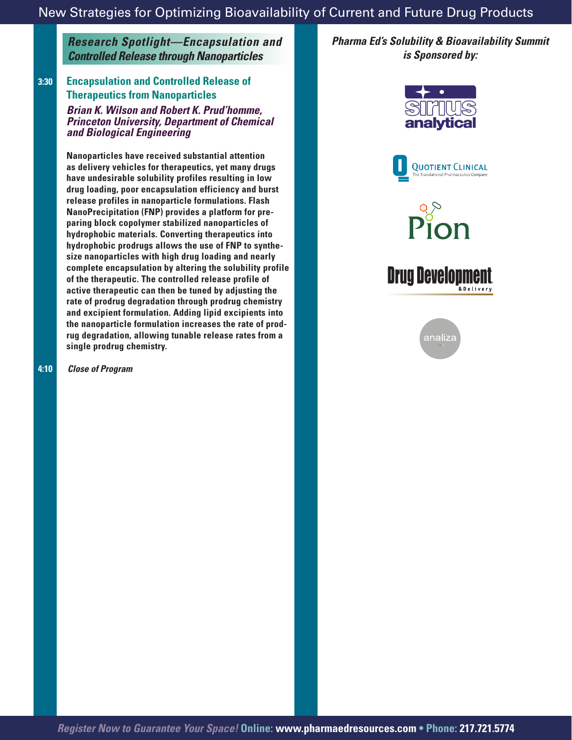*Research Spotlight—Encapsulation and Controlled Release through Nanoparticles*

#### **3:30 Encapsulation and Controlled Release of Therapeutics from Nanoparticles**

*Brian K. Wilson and Robert K. Prud'homme, Princeton University, Department of Chemical and Biological Engineering*

**Nanoparticles have received substantial attention as delivery vehicles for therapeutics, yet many drugs have undesirable solubility profiles resulting in low drug loading, poor encapsulation efficiency and burst release profiles in nanoparticle formulations. Flash NanoPrecipitation (FNP) provides a platform for preparing block copolymer stabilized nanoparticles of hydrophobic materials. Converting therapeutics into hydrophobic prodrugs allows the use of FNP to synthesize nanoparticles with high drug loading and nearly complete encapsulation by altering the solubility profile of the therapeutic. The controlled release profile of active therapeutic can then be tuned by adjusting the rate of prodrug degradation through prodrug chemistry and excipient formulation. Adding lipid excipients into the nanoparticle formulation increases the rate of prodrug degradation, allowing tunable release rates from a single prodrug chemistry.** 

 **4:10** *Close of Program*

*Pharma Ed's Solubility & Bioavailability Summit is Sponsored by:*





Pion

# **Drug Developmen**



*Register Now to Guarantee Your Space!* **Online: www.pharmaedresources.com • Phone: 217.721.5774**